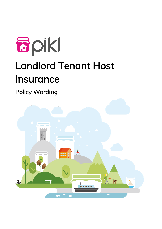

# Landlord Tenant Host Insurance

Policy Wording

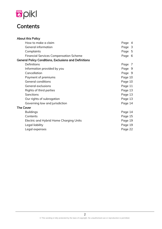

# **Contents**

| <b>About this Policy</b>                                     |         |
|--------------------------------------------------------------|---------|
| How to make a claim                                          | Page 4  |
| <b>General information</b>                                   | Page 3  |
| Complaints                                                   | Page 5  |
| <b>Financial Services Compensation Scheme</b>                | Page 6  |
| <b>General Policy Conditions, Exclusions and Definitions</b> |         |
| Definitions                                                  | Page 7  |
| Information provided by you                                  | Page 9  |
| Cancellation                                                 | Page 9  |
| Payment of premiums                                          | Page 10 |
| General conditions                                           | Page 10 |
| General exclusions                                           | Page 11 |
| Rights of third parties                                      | Page 13 |
| Sanctions                                                    | Page 13 |
| Our rights of subrogation                                    | Page 13 |
| Governing law and jurisdiction                               | Page 14 |
| <b>The Cover</b>                                             |         |
| <b>Buildings</b>                                             | Page 14 |
| Contents                                                     | Page 15 |
| Electric and Hybrid Home Charging Units                      | Page 19 |
| Legal liability                                              | Page 19 |
| Legal expenses                                               | Page 22 |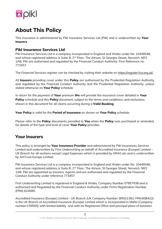

# **About This Policy**

This insurance is administered by Pikl Insurance Services Ltd (Pikl) and is underwritten by **Your Insurers**.

# **Pikl Insurance Services Ltd**

Pikl Insurance Services Ltd is a company incorporated in England and Wales under No. 10449346, and whose registered address is Suite B, 2<sup>nd</sup> Floor, The Atrium, St Georges Street, Norwich, NR3 1AB. Pikl are authorised and regulated by the Financial Conduct Authority. Firm Reference no. 773457.

The Financial Services register can be checked by visiting their website on [https://register.fca.org.uk/.](https://register.fca.org.uk/)

All **Insurers** providing cover under this **Policy** are authorised by the Prudential Regulation Authority and regulated by the Financial Conduct Authority and the Prudential Regulation Authority, unless stated otherwise on **Your Policy** schedule.

In return for the payment of **Your** premium **We** will provide the insurance cover detailed in **Your Policy** schedule and this **Policy** document, subject to the terms and conditions, and exclusions shown in this document for all claims occurring during a **Valid Booking**.

**Your Policy** is valid for the **Period of Insurance** as shown on **Your Policy** schedule.

Please refer to the **Policy** documents provided to **You** when the **Policy** was purchased or amended, for details of the type and level of cover **Your Policy** provides.

# **Your Insurers**

This policy is arranged by **Your Insurance Provider** and administered by Pikl Insurances Services Limited and underwritten by First Underwriting on behalf of Accredited Insurance (Europe) Limited – UK Branch for all sections except Legal Expenses which is provided by ARAG plc and is underwritten by AmTrust Europe Limited.

Pikl Insurance Services Ltd is a company incorporated in England and Wales under No. 10449346, and whose registered address is Suite B, 2<sup>nd</sup> Floor, The Atrium, St Georges Street, Norwich, NR3 1AB. Pikl are appointed as Insurers' Agents and are authorised and regulated by the Financial Conduct Authority under reference 773457.

First Underwriting Limited is registered in England & Wales, Company Number 07857938 and is authorised and Regulated by the Financial Conduct Authority under Firms Registration Number (FRN) 624585.

Accredited Insurance (Europe) Limited – UK Branch (UK Company Number: BR021362; FRN:608422) is the UK Branch of Accredited Insurance (Europe) Limited which is incorporated in Malta (Company number:C59505) with limited liability and with its Registered Office and principal place of business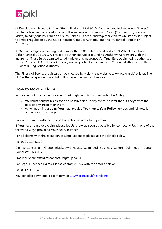

at Development House, St Anne Street, Floriana, FRN 9010 Malta. Accredited Insurance (Europe) Limited is licensed in accordance with the Insurance Business Act, 1998 (Chapter 403, Laws of Malta) to carry out insurance and reinsurance business, and together with its UK Branch, is subject to limited regulation by the UK's Financial Conduct Authority and the Prudential Regulation Authority.

ARAG plc is registered in England number 02585818. Registered address: 9 Whiteladies Road, Clifton, Bristol BS8 1NN. ARAG plc is authorised under a Binding Authority Agreement with the insurer AmTrust Europe Limited to administer this insurance. AmTrust Europe Limited is authorised by the Prudential Regulation Authority and regulated by the Financial Conduct Authority and the Prudential Regulation Authority.

The Financial Services register can be checked by visiting the website www.fca.org.uk/register. The FCA is the independent watchdog that regulates financial services.

# **How to Make a Claim**

In the event of any incident or event that might lead to a claim under the **Policy**:

- **You** must contact **Us** as soon as possible and, in any event, no later than 30 days from the date of any incident or event.
- When notifying a claim, **You** must provide **Your** name, **Your Policy** number, and full details of the Loss or Damage.

Failure to comply with these conditions shall be a bar to any claim.

If **You** need to make a claim, please let **Us** know as soon as possible by contacting **Us** in one of the following ways providing **Your** policy number.

For all claims with the exception of Legal Expenses please use the details below:

Tel: 0330 124 5108

Claims Consortium Group, Blackdown House, Culmhead Business Centre, Culmhead, Taunton, Somerset, TA3 7DY

Email: piklclaims@claimsconsortiumgroup.co.uk

For Legal Expenses claims: Please contact ARAG with the details below:

Tel: 0117 917 1698

You can also download a claim form at [www.arag.co.uk/newclaims](http://www.arag.co.uk/newclaims)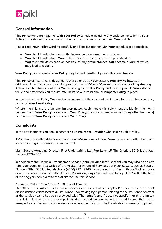

# **General Information**

This **Policy** wording, together with **Your Policy** schedule including any endorsements forms **Your Policy** and sets out the conditions of the contract of insurance between **You** and **Us**.

Please read **Your Policy** wording carefully and keep it, together with **Your** schedule in a safe place.

- **You** should understand what the insurance covers and does not cover.
- **You** should understand **Your** duties under the insurance, as the policyholder.
- **You** must tell **Us** as soon as possible of any circumstances **You** become aware of which may lead to a claim.

**Your Policy** or sections of **Your Policy** may be underwritten by more than one **Insurer**.

This **Policy** of insurance is designed to work alongside **Your** existing Property **Policy,**, as an additional insurance cover providing protection when **You** or **Your** tenant are undertaking **Hosting Activities**. Therefore, in order for **You** to be eligible for this **Policy** and for it to provide **You** with the value and protection **You** require, **You** must have a valid annual **Property Policy** in place.

In purchasing this **Policy You** must also ensure that the cover will be in force for the entire occupancy period of **Your Guests** stay.

Where there is more than one **Insurer** noted, each **Insurer** is solely responsible for their own percentage of **Your Policy** or section of **Your Policy**, they are not responsible for any other **Insurer(s)** percentage of **Your Policy** or section of **Your Policy**.

# **Complaints**

In the first instance **You** should contact **Your Insurance Provider** who sold **You** this Policy.

If **Your Insurance Provider** is unable to resolve **Your** complaint and **Your** issue is in relation to a claim (except for Legal Expenses), please contact:

Mark Bacon, Managing Director, First Underwriting Ltd, Part Level 15, The Gherkin, 30 St Mary Axe, London, EC3A 8EP

In addition to the Financial Ombudsman Service (detailed later in this section) you may also be able to refer your complaint to: Office of the Arbiter for Financial Services, 1st Floor St Calcedonius Square, Floriana FRN 1530 Malta, telephone (+356) 212 49245 if you are not satisfied with our final response or we have not responded within fifteen (15) working days. You will have to pay EUR 25.00 at the time of making your complaint to the Arbiter to use this service.

About the Office of the Arbiter for Financial Services

The Office of the Arbiter for Financial Services considers that a 'complaint' refers to a statement of dissatisfaction addressed to an insurance undertaking by a person relating to the insurance contract or the service he/she has been provided with. The terms 'person' does not specify that this is limited to individuals and therefore any policyholder, insured person, beneficiary and injured third party (irrespective of the country of residence or where the risk in situated) is eligible to make a complaint.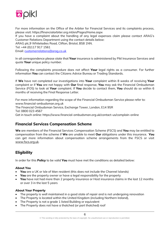

For more information on the Office of the Arbiter for Financial Services and its complaints process, please visit: https://financialarbiter.org.mt/en/Pages/Home.aspx

If you have a complaint about the handling of any legal expenses claim please contact ARAG's Customer Relations Department using the contact details below:

ARAG plc,9 Whiteladies Road, Clifton, Bristol, BS8 1NN.

Tel: +44 (0)117 917 1561

Email: [customerrelations@arag.co.uk](mailto:customerrelations@arag.co.uk)

In all correspondence please state that **Your** insurance is administered by Pikl Insurance Services and quote **Your** unique policy number.

Following the complaints procedure does not affect **Your** legal rights as a consumer. For further information **You** can contact the Citizens Advice Bureau or Trading Standards.

If **We** have not completed our investigations into **Your** complaint within 8 weeks of receiving **Your** complaint or if **You** are not happy with **Our** final response, **You** may ask the Financial Ombudsman Service (FOS) to look at **Your** complaint. If **You** decide to contact them, **You** should do so within 6 months of receiving the Final Response Letter.

For more information regarding the scope of the Financial Ombudsman Service please refer to: www.financial-ombudsman.org.uk The Financial Ombudsman Service, Exchange Tower, London, E14 9SR Tel: 0800 023 4567 Get in touch online: https://www.financial-ombudsman.org.uk/contact-us/complain-online

# **Financial Services Compensation Scheme**

**We** are members of the Financial Services Compensation Scheme (FSCS) and **You** may be entitled to compensation from the scheme if **We** are unable to meet **Our** obligations under this insurance. **You** can get more information about compensation scheme arrangements from the FSCS or visit [www.fscs.org.uk.](http://www.fscs.org.uk/)

# **Eligibility**

In order for this **Policy** to be valid **You** must have met the conditions as detailed below:

#### **About You**

- **You** are a UK or Isle of Man resident (this does not include the Channel Islands)
- **You** are the property owner or have a legal responsibility for the property
- **You** have not had more than 2 property insurance or Host insurance claims in the last 12 months or over 3 in the last 5 years

#### **About Your Property**

- The property is well maintained in a good state of repair and is not undergoing renovation
- The Property is located within the United Kingdom (including Northern Ireland),
- The Property is not a grade 1 listed Building or equivalent
- The Property does not have a thatched (or part thatched) roof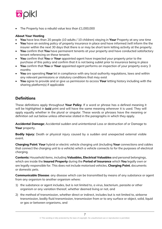

• The Property has a rebuild value less than £1,000,000

#### **About Your Hosting**

- **You** have less than 20 people (10 adults / 10 children) staying in **Your** Property at any one time
- **You** have an existing policy of property insurance in place and have informed /will inform the the insurer within the next 30 days that there is or may be short term letting activity at the property.
- **You** confirm that **You** have permanent tenants at your property and have conducted satisfactory tenant referencing on these tenants
- **You** confirm that **You** or **Your** appointed agent have inspected your property prior to the purchase of this policy and confirm that it is not being sublet prior to insurance being in place
- **You** confirm that **You** or **Your** appointed agent performs an inspection of your property every 3 months
- **You** are operating **Your** let in compliance with any local authority regulations, laws and within any relevant permissions or statutory conditions that may exist
- **You** agree to provide and or give us permission to access **Your** letting history including with the sharing platform(s) if applicable

# **Definitions**

These definitions apply throughout **Your Policy**. If a word or phrase has a defined meaning it will be highlighted in **bold** print and will have the same meaning wherever it is used. They will apply equally whether in the plural or singular. These words or phrases have the meaning or definition set out below unless otherwise stated in the paragraphs in which they apply.

**Accidental Damage**: Accidental sudden and unintentional Loss or destruction of or Damage to **Your** property.

**Bodily Injury**: Death or physical injury caused by a sudden and unexpected external visible event.

**Charging Point**: **Your** hybrid or electric vehicle charging unit (including **Your** connections and cables that connect the charging unit to a vehicle) which a vehicle connects to for the purposes of electrical charging.

**Contents**: Household items, including **Valuables, Electrical Valuables** and personal belongings, which are inside the **Insured Property** during the **Period of Insurance** which **You** legally own or are legally responsible for. This does not include motorised vehicles, **Charging Point**, documents or domestic pets.

**Communicable Disease**: any disease which can be transmitted by means of any substance or agent from any organism to another organism where:

- 1) the substance or agent includes, but is not limited to, a virus, bacterium, parasite or other organism or any variation thereof, whether deemed living or not, and
- 2) the method of transmission, whether direct or indirect, includes but is not limited to, airborne transmission, bodily fluid transmission, transmission from or to any surface or object, solid, liquid or gas or between organisms, and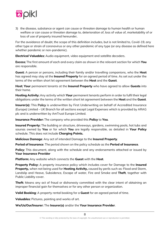

3) the disease, substance or agent can cause or threaten damage to human health or human welfare or can cause or threaten damage to, deterioration of, loss of value of, marketability of or loss of use of property insured hereunder,

For the avoidance of doubt, the scope of this definition includes, but is not limited to, Covid-19, any other type or strain of coronavirus or any other pandemic of any type (or any disease as defined here whether pandemic or non-pandemic).

**Electrical Valuables**: Audio equipment, video equipment and satellite decoders.

**Excess**: The first amount of each and every claim as shown in the relevant section for which **You** are responsible.

**Guest**: A person or persons, including their family and/or travelling companions, who the **Host** has agreed may stay at the **Insured Property** for an agreed period of time. As set out under the terms of the written short let agreement between the **Host** and the **Guest**.

**Host**: **Your** permanent tenants at the **Insured Property** who have agreed to allow **Guests** into their home.

**Hosting Activity**: Any activity which **Your** permanent tenants perform in order to fulfil their legal obligations under the terms of the written short let agreement between the **Host** and the **Guest**.

**Insurer(s)**: This Policy is underwritten by First Underwriting on behalf of Accredited Insurance (Europe) Limited – UK Branch for all sections except Legal Expenses which is provided by ARAG plc and is underwritten by AmTrust Europe Limited.

**Insurance Provider:** The company who provided this **Policy** to **You**.

**Insured Property**: The building or structure, driveways, gardens, swimming pools, hot tubs and saunas owned by **You** or for which **You** are legally responsible, as detailed in **Your Policy** schedule. This does not include **Charging Points.**

**Malicious Damage**: Any act of intended Damage to the **Insured Property**.

**Period of Insurance**: The period shown on the policy schedule as the **Period of Insurance**.

**Policy:** This document, along with the schedule and any endorsements attached or issued by **Your Insurance Provider**

**Platform**: Any website which connects the **Guest** with the **Host**.

**Property Policy**: A property insurance policy which includes cover for Damage to the **Insured Property,** when not being used for **Hosting Activity,** caused by perils such as: Flood and Storm, Landslip and Heave, Subsidence, Escape of water, Fire and Smoke and **Theft**, together with Public Liability cover.

**Theft**: Means any act of fraud or dishonesty committed with the clear intent of obtaining an improper financial gain for themselves or for any other person or organization.

**Valid Booking**: A property rental booking for a **Guest** for an agreed period of time.

**Valuables**: Pictures, painting and works of art.

**We/Us/Our/Insurer**: The **Insurer(s)** and/or the **Your Insurance Provider**.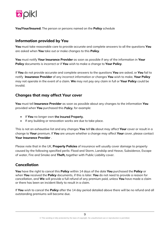

**You/Your/Insured**: The person or persons named on the **Policy** schedule

# **Information provided by You**

**You** must take reasonable care to provide accurate and complete answers to all the questions **You** are asked when **You** take out or make changes to this **Policy**.

**You** must notify **Your Insurance Provider** as soon as possible if any of the information in **Your Policy** documents is incorrect or if **You** wish to make a change to **Your Policy**.

If **You** do not provide accurate and complete answers to the questions **You** are asked, or **You** fail to notify **Insurance Provider** of any incorrect information or changes **You** wish to make, **Your Policy** may not operate in the event of a claim. **We** may not pay any claim in full or **Your Policy** could be invalid.

# **Changes that may affect Your cover**

**You** must tell **Insurance Provider** as soon as possible about any changes to the information **You** provided when **You** purchased this Policy, for example:

- If **You** no longer own the Insured Property,
- If any building or renovation works are due to take place.

This is not an exhaustive list and any changes **You** tell **Us** about may affect **Your** cover or result in a change to **Your** premium. If **You** are unsure whether a change may affect **Your** cover, please contact **Your Insurance Provider** .

Please note that in the UK, **Property Policies** of insurance will usually cover damage to property caused by the following specified perils: Flood and Storm, Landslip and Heave, Subsidence, Escape of water, Fire and Smoke and **Theft,** together with Public Liability cover.

# **Cancellation**

**You** have the right to cancel this **Policy** within 14 days of the date **You** purchased the **Policy** or when **You** received the **Policy** documents, if this is later. **You** do not need to provide a reason for cancellation, and **We** will provide a full refund of any premium paid, unless **You** have made a claim or there has been an incident likely to result in a claim.

If **You** wish to cancel the **Policy** after the 14 day period detailed above there will be no refund and all outstanding premiums will become due.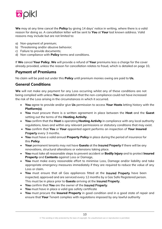

**We** may at any time cancel the **Policy** by giving 14 days' notice in writing, where there is a valid reason for doing so. A cancellation letter will be sent to **You** at **Your** last known address. Valid reasons may include but are not limited to:

- a) Non-payment of premium;
- b) Threatening and/or abusive behavior;
- c) Failure to provide documents;
- d) Non-compliance with **Policy** terms and conditions.

If **We** cancel **Your Policy**, **We** will provide a refund of **Your** premiums less a charge for the cover already provided, unless the reason for cancellation relates to fraud, which is detailed on page 10.

### **Payment of Premiums**

No claim will be paid out under this **Policy** until premium monies owing are paid to **Us**.

# **General Conditions**

**We** will not make any payment for any Loss occurring whilst any of these conditions are not being complied with unless **You** can establish that the non-compliance could not have increased the risk of the Loss arising in the circumstances in which it occurred.

- **You** agree to provide and/or give **Us** permission to access **Your Hosts** letting history with the **Platform(s)**.
- **You** must procure there is a written agreement in place between the **Host** and the **Guest** setting out the terms of the **Hosting Activity**.
- **You** confirm that the **Host** is operating **Hosting Activity** in compliance with any local authority regulations, laws and within any relevant permissions or statutory conditions that may exist.
- **You** confirm that **You** or **Your** appointed agent performs an inspection of **Your Insured** Property every 3 months.
- **You** must have a valid annual **Property Policy** in place during the period of insurance for this **Policy**.
- **Your** permanent tenants may not have **Guests** at the Insured Property if there will be any renovations, structural alterations or extensions taking place.
- **You** must take all reasonable steps to prevent accident or **Bodily Injury** and to protect **Insured Property** and **Contents** against Loss or Damage.
- **You** must make every reasonable effort to minimise Loss, Damage and/or liability and take appropriate emergency measures immediately if they are required to reduce the value of any Loss or claim.
- **You** must ensure that all Gas appliances fitted at the Insured Property have been inspected, approved and are serviced every 12 months by a Gas Safe Registered person. This must be in place prior to **Guests** arriving at the Insured Property.
- **You** confirm that **You** are the owner of the Insured Property.
- **You** must have in place a valid gas safety certificate
- **You** must procure the **Insured Property** in good condition and in a good state of repair and ensure that **Your** Tenant complies with regulations imposed by any lawful authority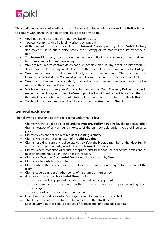

The conditions below shall continue to be in force during the whole currency of this **Policy**. Failure to comply with any such condition shall be <sup>a</sup> bar to any claim.

- **You** have paid all premiums that have become due.
- **You** can comply with all eligibility criteria on page 4.
- At the time of any Loss and/or claim the **Insured Property** is subject to a **Valid Booking** and cover must be put in place before the **Guest(s)** arrive. **We** will require evidence of this.
- The **Insured Property** must be equipped with essential items, such as curtains, beds and furniture essential for modern living.
- **You** are required to contact **Us** as soon as possible and, in any event, no later than 30 days from the date of any incident or event that might lead to a claim under the **Policy**.
- **You** must inform the police immediately upon discovering any **Theft**, or malicious Damage by a **Guest** and **You** must provide **Us** with the crime number or equivalent.
- **You** must not make any offer, deal, payment or compromise to settle any claim that is made by the **Guest** and/or a third party.
- **We** have the right to require **You** to submit a claim to **Your Property Policy** provider in respect of the claim, and to require **You** to provide **Us** with written evidence from them of their decision on whether the claim fails to be covered under the terms of the **Policy**.
- The **Host** must have retained the full deposit paid to **Host** by the **Guest**.

# **General exclusions**

The following exclusions apply to all claims under the **Policy**:

- Claims which would be covered under a **Property Policy** if this **Policy** did not exist, other than in respect of any amount in excess of the sum payable under the other insurance policy.
- Claims which are not a direct result of **Hosting Activity**.
- Claims which are not as a result of a **Valid Booking**.
- Claims resulting from any deliberate act by **You**/ the **Host**, a member of the **Host** family or any person permanently resident at the **Insured Property**.
- Claims where evidence of fraud, deception and falsehood, or deliberate omissions or misstatements have been found for any reason.
- Claims for Damage, **Accidental Damage** or Loss caused by **You**.
- Claims for tenants/Hosts contents.
- Claims where the deposit paid by the **Guest** is greater than or equal to the value of the claim.
- Claims covered under another policy of insurance or guarantee.
- Any Loss, Damage or **Accidental Damage** to:
	- o guns or sports equipment including scuba diving equipment;
	- o audio, visual and computer software discs, cassettes, tapes including their packaging;
	- o cash, credit cards, vouchers or equivalent.
- Loss, Damage or **Accidental Damage** caused by any motorised vehicle.
- **Theft** of items not proven to have been stolen in the **Theft** event.
- Loss or Damage that occurs because of professional or domestic cleaning.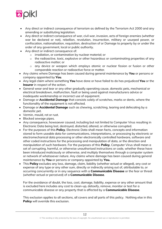

- Any direct or indirect consequence of terrorism as defined by the Terrorism Act 2000 and any amending or substituting legislation.
- Any direct or indirect consequence of war, civil war, invasion, acts of foreign enemies (whether war be declared or not), rebellion, revolution, insurrection, military or usurped power, or confiscation, nationalisation, requisition, destruction of or Damage to property by or under the order of any government, local or public authority.
- Any direct or indirect consequence of:
	- o irradiation, or contamination by nuclear material; or
	- o the radioactive, toxic, explosive or other hazardous or contaminating properties of any radioactive matter; or
	- o any device or weapon which employs atomic or nuclear fission or fusion or other comparable reaction or radioactive force or matter.
- Any claims where Damage has been caused during general maintenance by **You** or persons or company appointed by **You**.
- Any legal claim where something **You** have done or have failed to do has prejudiced **You** or the **Insurer** in respect of the action.
- General wear and tear or any other gradually operating cause, domestic pets, mechanical or electrical breakdown, malfunction, fault or being used against manufacturers advice or inadequate workmanship or incorrect use of equipment.
- Damage or **Accidental Damage** that consists solely of scratches, marks or dents, where the functionality of the equipment is not affected.
- Damage or **Accidental Damage** such as chewing, scratching, tearing and defecating by a domestic pet.
- Vermin, mould, rot or rust.
- Blocked sewage pipes.
- Any consequence, howsoever caused, including but not limited to Computer Virus resulting in Electronic Data being lost, destroyed, distorted, altered, or otherwise corrupted.
- For the purposes of this **Policy**, Electronic Data shall mean facts, concepts and information stored to form useable data for communications, interpretations, or processing by electronic or electromechanical data processing or other electronically controlled hardware, software and other coded instructions for the processing and manipulation of data, or the direction and manipulation of such hardware. For the purposes of this **Policy**, Computer Virus shall mean a set of corrupting, harmful, or otherwise unauthorised instructions or code, whether these have been introduced maliciously or otherwise, and multiply themselves through a computer system or network of whatsoever nature. Any claims where damage has been caused during general maintenance by **You** or persons or company appointed by **You.**
- This **Policy** excludes any loss, damage, claim, liability (whether actual or alleged), any cost or expense of any type or any other sum, directly or indirectly arising out of, attributable to, or occurring concurrently or in any sequence with a **Communicable Disease** or the fear or threat (whether actual or perceived) of a **Communicable Disease**.

For the avoidance of doubt, the loss, cost, damage, liability, expense or any other amount that is excluded here includes any cost to clean-up, detoxify, remove, monitor or test for a communicable disease or any property that is affected by a **Communicable Disease**.

This exclusion applies to all sections, all covers and all parts of this policy. Nothing else in this **Policy** will override this exclusion.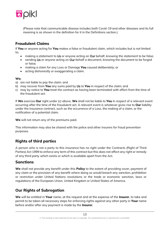

(Please note that communicable disease includes both Covid-19 and other diseases and its full meaning is as shown in the definition for it in the Definitions section.)

# **Fraudulent Claims**

If **You** or anyone acting for **You** makes a false or fraudulent claim, which includes but is not limited to;

- making a statement to Us or anyone acting on Our behalf, knowing the statement to be false;
- sending Us or anyone acting on Our behalf a document, knowing the document to be forged or false;
- making a claim for any Loss or Damage **You** caused deliberately; or
- acting dishonestly or exaggerating a claim.

#### **We**;

- a) are not liable to pay the claim: and
- b) may recover from **You** any sums paid by Us to **You** in respect of the claim; and
- c) may by notice to **You** treat the contract as having been terminated with effect from the time of the fraudulent act.

If **We** exercise **Our** right under (c) above, **We** shall not be liable to **You** in respect of a relevant event occurring after the time of the fraudulent act. A relevant event is whatever gives rise to **Our** liability under the insurance contract, such as the occurrence of a Loss, the making of a claim, or the notification of a potential claim.

**We** will not return any of the premiums paid.

This information may also be shared with the police and other insurers for fraud prevention purposes.

# **Rights of third parties**

A person who is not a party to this insurance has no right under the Contracts (Right of Third Parties) Act 1999 to enforce any term of this contract but this does not affect any right or remedy of any third party which exists or which is available apart from the Act.

#### **Sanctions**

**We** shall not provide any benefit under this **Policy** to the extent of providing cover, payment of any claim or the provision of any benefit where doing so would breach any sanction, prohibition or restriction under United Nations resolutions or the trade or economic sanction, laws or regulations of the European Union, United Kingdom or United States of America.

# **Our Rights of Subrogation**

**We** will be entitled in **Your** name, at the request and at the expense of the **Insurer**, to take and permit to be taken all necessary steps for enforcing rights against any other party in **Your** name before and/or after any payment is made by the **Insurer**.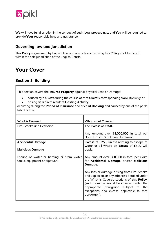

**We** will have full discretion in the conduct of such legal proceedings, and **You** will be required to provide **Your** reasonable help and assistance.

# **Governing law and jurisdiction**

This **Policy** is governed by English law and any actions involving this **Policy** shall be heard within the sole jurisdiction of the English Courts.

# **Your Cover**

# **Section 1: Building**

This section covers the **Insured Property** against physical Loss or Damage:

- caused by a **Guest** during the course of that **Guest**'s corresponding Valid Booking; or
- arising as a direct result of **Hosting Activity**,

occurring during the **Period of Insurance** and a **Valid Booking** and caused by one of the perils listed below.

| <b>What is Covered</b>                                                    | <b>What is not Covered</b>                                                                                                                                                                                                                                                                              |
|---------------------------------------------------------------------------|---------------------------------------------------------------------------------------------------------------------------------------------------------------------------------------------------------------------------------------------------------------------------------------------------------|
| Fire, Smoke and Explosion                                                 | The Excess of £250.                                                                                                                                                                                                                                                                                     |
|                                                                           | Any amount over £1,000,000 in total per<br>claim for Fire, Smoke and Explosion.                                                                                                                                                                                                                         |
| <b>Accidental Damage</b>                                                  | <b>Excess</b> of £250, unless relating to escape of<br>water or oil where an <b>Excess</b> of £500 will                                                                                                                                                                                                 |
| <b>Malicious Damage</b>                                                   | apply.                                                                                                                                                                                                                                                                                                  |
| Escape of water or heating oil from water<br>tanks, equipment or pipework | Any amount over £80,000 in total per claim<br>for Accidental Damage and/or Malicious<br>Damage.                                                                                                                                                                                                         |
|                                                                           | Any loss or damage arising from Fire, Smoke<br>and Explosion, or any other risk detailed under<br>the What is Covered sections of this <b>Policy</b> .<br>(such damage would be covered under the<br>appropriate paragraph subject to<br>the<br>exceptions and excess applicable to that<br>paragraph). |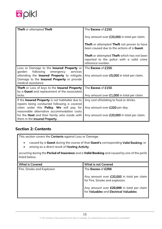

| Theft or attempted Theft                                                                                                                                                                                       | The Excess of £250.                                                                                                  |
|----------------------------------------------------------------------------------------------------------------------------------------------------------------------------------------------------------------|----------------------------------------------------------------------------------------------------------------------|
|                                                                                                                                                                                                                | Any amount over £20,000 in total per claim.                                                                          |
|                                                                                                                                                                                                                | <b>Theft</b> or attempted <b>Theft</b> not proven to have<br>been caused due to the actions of a <b>Guest</b> .      |
|                                                                                                                                                                                                                | <b>Theft</b> or attempted Theft which has not been<br>reported to the police with a valid crime<br>reference number. |
| Loss or Damage to the <b>Insured Property</b> or<br>following emergency<br>garden<br>services<br>attending the Insured Property to mitigate<br>Damage to the Insured Property or provide<br>medical assistance | The <b>Excess</b> of £250.<br>Any amount over £5,000 in total per claim.                                             |
| Theft or Loss of keys to the Insured Property<br>by a Guest and replacement of the associated<br>locks                                                                                                         | The Excess of £150.<br>Any amount over £1,000 in total per claim.                                                    |
| If the Insured Property is not habitable due to<br>repairs being conducted following a covered                                                                                                                 | Any cost of/relating to food or drinks.                                                                              |
| claim under this <b>Policy</b> , We will pay for<br>reasonable alternative accommodation costs<br>for the <b>Host</b> and their family who reside with<br>them in the Insured Property.                        | Any amount over £200 per day.<br>Any amount over £20,000 in total per claim.                                         |

# **Section 2: Contents**

This section covers the **Contents** against Loss or Damage:

- caused by a **Guest** during the course of that **Guest**'s corresponding Valid Booking; or
- arising as a direct result of Hosting Activity,

occurring during the **Period of Insurance** and a **Valid Booking** and caused by one of the perils listed below.

| <b>What is Covered</b>    | <b>What is not Covered</b>                                                                                              |
|---------------------------|-------------------------------------------------------------------------------------------------------------------------|
| Fire, Smoke and Explosion | The Excess of £250.                                                                                                     |
|                           | Any amount over £20,000 in total per claim<br>for Fire, Smoke and explosion.                                            |
|                           | Any amount over <b>£20,000</b> in total per claim $\left  \right $ for <b>Valuables</b> and <b>Electrical Valuables</b> |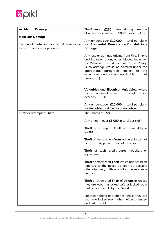

| <b>Accidental Damage</b>                                                  | The Excess of £250, unless relating to escape                                                                                                                                                                                                                                                   |
|---------------------------------------------------------------------------|-------------------------------------------------------------------------------------------------------------------------------------------------------------------------------------------------------------------------------------------------------------------------------------------------|
|                                                                           | of water or oil where a £500 Excess applies.                                                                                                                                                                                                                                                    |
| <b>Malicious Damage</b>                                                   |                                                                                                                                                                                                                                                                                                 |
| Escape of water or heating oil from water<br>tanks, equipment or pipework | Any amount over £10,000 in total per claim<br>for Accidental Damage and/or Malicious<br>Damage.                                                                                                                                                                                                 |
|                                                                           | Any loss or damage arising from Fire, Smoke<br>and Explosion, or any other risk detailed under<br>the What is Covered sections of this Policy.<br>(such damage would be covered under the<br>appropriate paragraph subject to<br>the<br>exceptions and excess applicable to that<br>paragraph). |
|                                                                           | Valuables and Electrical Valuables, where<br>the replacement value of a single article<br>exceeds £1,000.                                                                                                                                                                                       |
|                                                                           | Any amount over £20,000 in total per claim<br>for Valuables and Electrical Valuables                                                                                                                                                                                                            |
| Theft or attempted Theft                                                  | The Excess of £500.                                                                                                                                                                                                                                                                             |
|                                                                           | Any amount over £5,000 in total per claim.                                                                                                                                                                                                                                                      |
|                                                                           | <b>Theft</b> or attempted <b>Theft</b> not caused by a<br>Guest.                                                                                                                                                                                                                                |
|                                                                           | Theft of items where Your ownership cannot<br>be proven by presentation of a receipt.                                                                                                                                                                                                           |
|                                                                           | Theft of cash, credit cards, vouchers or<br>equivalent.                                                                                                                                                                                                                                         |
|                                                                           | <b>Theft</b> or attempted Theft which has not been<br>reported to the police as soon as possible<br>after discovery with a valid crime reference<br>number.                                                                                                                                     |
|                                                                           | Theft or attempted Theft of Valuables unless<br>they are kept in a locked safe or locked room<br>that is inaccessible by the Guest.                                                                                                                                                             |
|                                                                           | Laptops, tablets and phones unless they are<br>kept in a locked room when left unattended<br>and out of sight.                                                                                                                                                                                  |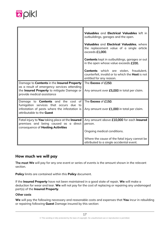

|                                                                                                                                                                                     | Valuables and Electrical Valuables left in<br>outbuildings, garages and the open.<br>Valuables and Electrical Valuables, where<br>the replacement value of a single article<br>exceeds £1,000.<br>Contents kept in outbuildings, garages or out<br>in the open whose value exceeds £200. |
|-------------------------------------------------------------------------------------------------------------------------------------------------------------------------------------|------------------------------------------------------------------------------------------------------------------------------------------------------------------------------------------------------------------------------------------------------------------------------------------|
|                                                                                                                                                                                     | <b>Contents</b> which are stolen, fraudulent,<br>counterfeit, invalid or to which the Host is not<br>entitled for any reason.                                                                                                                                                            |
| Damage to <b>Contents</b> in the <b>Insured Property</b><br>as a result of emergency services attending<br>the Insured Property to mitigate Damage or<br>provide medical assistance | The Excess of £250.<br>Any amount over £5,000 in total per claim.                                                                                                                                                                                                                        |
| Damage to <b>Contents</b> and the cost<br>of<br>fumigation services that occurs<br>due<br>to<br>infestation of pests where the infestation is<br>attributable to the <b>Guest</b>   | The Excess of £150.<br>Any amount over £1,000 in total per claim.                                                                                                                                                                                                                        |
| Fatal injury to You taking place at the Insured<br>premises and being caused as a direct<br>consequence of Hosting Activities                                                       | Any amount above £10,000 for each Insured<br>person.<br>Ongoing medical conditions.<br>Where the cause of the fatal injury cannot be<br>attributed to a single accidental event.                                                                                                         |

#### **How much we will pay**

The most **We** will pay for any one event or series of events is the amount shown in the relevant section.

**Policy** limits are contained within this **Policy** document.

If the **Insured Property** have not been maintained in a good state of repair, **We** will make a deduction for wear and tear. **We** will not pay for the cost of replacing or repairing any undamaged part(s) of the **Insured Property**.

#### Other costs

**We** will pay the following necessary and reasonable costs and expenses that **You** incur in rebuilding or repairing following **Guest** Damage insured by this section: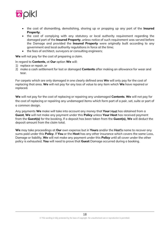

- the cost of dismantling, demolishing, shoring up or propping up any part of the **Insured Property**;
- the cost of complying with any statutory or local authority requirement regarding the damaged part of the **Insured Property**, unless notice of such requirement was served before the Damage and provided the **Insured Property** were originally built according to any government and local authority regulations in force at the time;
- the fees of architect, surveyors or consulting engineers;

**We** will not pay for the cost of preparing a claim.

#### In regard to **Contents**, at **Our** option **We** will:

- 1) replace or repair, or
- 2) make a cash settlement for lost or damaged **Contents** after making an allowance for wear and tear.

For carpets which are only damaged in one clearly defined area **We** will only pay for the cost of replacing that area. **We** will not pay for any loss of value to any item which **We** have repaired or replaced.

**We** will not pay for the cost of replacing or repairing any undamaged **Contents**. **We** will not pay for the cost of replacing or repairing any undamaged items which form part of a pair, set, suite or part of a common design.

Any payments **We** make will take into account any money that **Your** Host has obtained from a **Guest**. **We** will not make any payment under this **Policy** unless **Your Host** has received payment from the **Guest(s)** for the booking. If a deposit has been taken from the **Guest(s)**, **We** will deduct the deposit amount from the claim total.

**We** may take proceedings at **Our** own expense but in **Your**s and/or the Host's name to recover any sums paid under this **Policy**. If **You** or the **Host** has any other insurance which covers the same Loss, Damage or liability, **We** will not make any payment under this **Policy** until all cover under the other policy is exhausted. **You** will need to prove that **Guest** Damage occurred during a booking.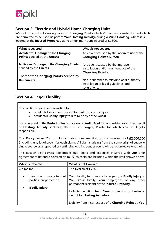

# **Section 3: Electric and Hybrid Home Charging Units**

**We** will provide the following cover for **Charging Points** which **You** are responsible for and which are permitted to be used as part of **Your Hosting Activity,** during a **Valid Booking**, where it is located at the **Insured Property ,** up to a maximum sum insured of £1500.

| What is covered                                                          | What is not covered                                                                                   |
|--------------------------------------------------------------------------|-------------------------------------------------------------------------------------------------------|
| <b>Accidental Damage to the Charging</b><br>Points caused by the Guests. | Any event caused by the incorrect use of the<br><b>Charging Points by You.</b>                        |
| <b>Malicious Damage to the Charging Points</b><br>caused by the Guests.  | Any event caused by the improper<br>installation and/or maintenance of the<br><b>Charging Points.</b> |
| Theft of the <b>Charging Points</b> caused by<br>the Guests.             | Non-adherence to relevant local authority,<br>installation or legal quidelines and<br>requlations.    |

# **Section 4: Legal Liability**

This section covers compensation for:

- accidental loss of or damage to third party property or
- accidental **Bodily Injury** to a third party or the **Guest**

occurring during the **Period of Insurance** and a **Valid Booking** and arising as a direct result of **Hosting Activity**, including the use of Charging Points, for which **You** are legally responsible.

This **Policy** covers **You** for claims and/or compensation up to a maximum of £2,000,000 (including any legal costs) for each claim. All claims arising from the same original cause, a single source or a repeated or continuing act, incident or event will be regarded as one claim.

This section also covers reasonable legal costs and expenses incurred with **Our** prior agreement to defend a covered claim. Such costs are included within the limit shown above.

| <b>What is Covered</b> | <b>What is not Covered</b>                                                                                                                                                                                                                                                                                                                                                                                |
|------------------------|-----------------------------------------------------------------------------------------------------------------------------------------------------------------------------------------------------------------------------------------------------------------------------------------------------------------------------------------------------------------------------------------------------------|
| Claims for:            | The Excess of £250.                                                                                                                                                                                                                                                                                                                                                                                       |
| <b>Bodily Injury</b>   | Loss of or damage to third <b>Your</b> liability for damage to property of <b>Bodily Injury</b> to parties' properties; or <b>You, Your</b> family, <b>Your</b> employees or any other permanent resident at the <b>Insured Property</b> .<br>Liability resulting from Your profession or business,<br>except for <b>Hosting Activities</b> .<br>Liability from incorrect use of a Charging Point by You. |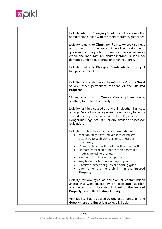

| Liability where a <b>Charging Point</b> has not been installed<br>or maintained inline with the manufacturer's guidelines.<br>Liability relating to <b>Charging Points</b> where You have                                                                           |
|---------------------------------------------------------------------------------------------------------------------------------------------------------------------------------------------------------------------------------------------------------------------|
| not adhered to the relevant local authority, legal<br>guidelines and regulations, manufacturer guidelines or<br>where the manufacturer and/or installer is liable for<br>damages under a guarantee or other insurance.                                              |
| Liability relating to <b>Charging Points</b> which are subject<br>to a product recall.                                                                                                                                                                              |
| Liability for any criminal or violent act by You, the Guest<br>or any other permanent resident at the Insured<br>Property.                                                                                                                                          |
| Claims arising out of You or Your employees doing<br>anything for or to a third party.                                                                                                                                                                              |
| Liability for injury caused by any animal, other than cats<br>or dogs. We will not in any event cover liability for injury<br>caused by any 'specially controlled dogs' under the<br>Dangerous Dogs Act 1991 or any similar or successor<br>legislation.            |
| Liability resulting from the use or ownership of:<br>Mechanically powered vehicles or trailers<br>$\bullet$<br>attached to such vehicles, except garden<br>machinery.<br>Powered hovercraft, watercraft and aircraft.<br>Remote controlled or pedestrian controlled |
| models including drones.<br>Animals of a dangerous species.<br>$\bullet$<br>Any horse for hunting, racing or polo.<br>Firearms, except airguns or sporting guns.<br>Lifts (other than a stair lift) in the Insured<br>Property.                                     |
| Liability for any type of pollution or contamination<br>unless this was caused by an accidental, sudden,<br>unexpected and unintended incident at the Insured<br>Property during the Hosting Activity.                                                              |
| Any liability that is caused by any act or omission of a<br>Guest where the Guest is also legally liable.                                                                                                                                                           |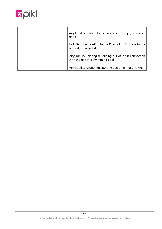

| Any liability relating to the provision or supply of food or<br>drink.                         |
|------------------------------------------------------------------------------------------------|
| Liability for or relating to the Theft of or Damage to the<br>property of a Guest.             |
| Any liability relating to, arising out of, or in connection<br>with the use of a swimming pool |
| Any liability relation to sporting equipment of any kind.                                      |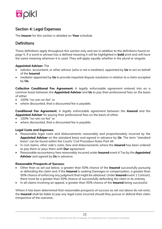

# Section 4: Legal Expenses

The **Insurer** for this section is detailed on **Your** schedule.

# **Definitions**

These definitions apply throughout this section only and are in addition to the definitions found on page 5. If a word or phrase has a defined meaning it will be highlighted in **bold** print and will have the same meaning wherever it is used. They will apply equally whether in the plural or singular.

#### **Appointed Adviser**: The

- solicitor, accountant, or other advisor (who is not a mediator), appointed by **Us** to act on behalf of the **Insured**
- mediator appointed by **Us** to provide impartial dispute resolution in relation to a claim accepted by **Us.**

**Collective Conditional Fee Agreement**: A legally enforceable agreement entered into on a common basis between the **Appointed Adviser** and **Us** to pay their professional fees on the basis of either

- 100% "no-win no-fee" or
- where discounted, that a discounted fee is payable.

**Conditional Fee Agreement**: A legally enforceable agreement between the **Insured** and the **Appointed Adviser** for paying their professional fees on the basis of either

- 100% "no-win no-fee" or
- where discounted, that a discounted fee is payable.

#### **Legal Costs and Expenses**:

- Reasonable legal costs and disbursements reasonably and proportionately incurred by the **Appointed Adviser** on the standard basis and agreed in advance by **Us**. The term "standard basis" can be found within the Courts' Civil Procedure Rules Part 44
- In civil claims, other side's costs, fees and disbursements where the **Insured** has been ordered to pay them or pays them with **Our** agreement
- Reasonable accountancy fees reasonably incurred under **Insured** event 4 Tax by the **Appointed Advisor** and agreed by **Us** in advance.

#### **Reasonable Prospects of Success**:

- Other than as set out below, a greater than 50% chance of the **Insured** successfully pursuing or defending the claim and, if the **Insured** is seeking Damages or compensation, a greater than 50% chance of enforcing any judgment that might be obtained. Under **Insured** event 1 Contract, there must be a greater than 50% chance of successfully defending the claim in its entirety
- In all claims involving an appeal, a greater than 50% chance of the **Insured** being successful.

Where it has been determined that reasonable prospects of success as set out above do not exist, the **Insured** shall be liable to pay any legal costs incurred should they pursue or defend their claim irrespective of the outcome.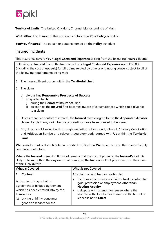

**Territorial Limits**: The United Kingdom, Channel Islands and Isle of Man.

**We**/**Us**/**Our**: The **Insurer** of this section as detailed on **Your Policy** schedule.

**You/Your/Insured**: The person or persons named on the **Policy** schedule

## Insured incidents

This insurance covers **Your** Legal Costs and Expenses arising from the following **Insured** Events

Following an **Insured** Event, the **Insurer** will pay **Legal Costs and Expenses** up to £50,000 (including the cost of appeals) for all claims related by time or originating cause, subject to all of the following requirements being met:

- 1. The **Insured** Event occurs within the **Territorial Limit**
- 2. The claim
	- a) always has **Reasonable Prospects of Success**
	- b) is reported to **Us**
		- i) during the **Period of Insurance**; and
		- ii) as soon as the **Insured** first becomes aware of circumstances which could give rise to a claim
- 3. Unless there is a conflict of interest, the **Insured** always agree to use the **Appointed Advisor** chosen by **Us** in any claim before proceedings have been or need to be issued
- 4. Any dispute will be dealt with through mediation or by a court, tribunal, Advisory Conciliation and Arbitration Service or a relevant regulatory body agreed with **Us** within the **Territorial Limit**

**We** consider that a claim has been reported to **Us** when **We** have received the **Insured's** fully completed claim form

Where the **Insured** is seeking financial remedy and the cost of pursuing the **Insured's** claim is likely to be more than the any award of damages, the **Insurer** will not pay more than the value of the likely award.

| <b>What is Covered</b>                                                                                                                                                                                  | <b>What is not Covered</b>                                                                                                                                                                                                                                                                                                               |
|---------------------------------------------------------------------------------------------------------------------------------------------------------------------------------------------------------|------------------------------------------------------------------------------------------------------------------------------------------------------------------------------------------------------------------------------------------------------------------------------------------------------------------------------------------|
| Contract<br>A dispute arising out of an<br>agreement or alleged agreement<br>which has been entered into by the<br><b>Insured</b> for:<br>buying or hiring consumer<br>(a)<br>goods or services for the | Any claim arising from or relating to:<br>the Insured's business activities, trade, venture for<br>$\bullet$<br>gain, profession or employment, other than<br><b>Hosting Activity</b><br>a dispute with a tenant or leasee where the<br>$\bullet$<br><b>Insured</b> is the landlord or lessor and the tenant or<br>leasee is not a Guest |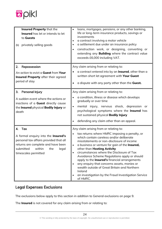

| Insured Property that the<br><b>Insured</b> has let or intends to let<br>to Guests<br>privately selling goods<br>(b)                                                                            | loans, mortgages, pensions, or any other banking,<br>life or long-term insurance products, savings or<br>investments<br>a contract involving a motor vehicle<br>a settlement due under an insurance policy<br>construction work, or designing, converting or<br>extending any <b>Building</b> where the contract value<br>exceeds £6,000 including VAT.                                                                                                                                                                                                                                             |
|-------------------------------------------------------------------------------------------------------------------------------------------------------------------------------------------------|-----------------------------------------------------------------------------------------------------------------------------------------------------------------------------------------------------------------------------------------------------------------------------------------------------------------------------------------------------------------------------------------------------------------------------------------------------------------------------------------------------------------------------------------------------------------------------------------------------|
| Repossession<br>2.<br>An action to evict a Guest from Your<br>Insured Property after their agreed<br>period of stay                                                                             | Any claim arising from or relating to:<br>a contract entered into by an <b>Insured</b> , other than a<br>written short let agreement with Your Guest<br>a dispute with any party other than the Guest.                                                                                                                                                                                                                                                                                                                                                                                              |
| 3.<br>Personal Injury<br>A sudden event where the actions or<br>inactions of a Guest directly cause<br>the Insured physical Bodily Injury or<br>death                                           | Any claim arising from or relating to:<br>a condition, illness or disease which develops<br>gradually or over time<br>mental injury, nervous shock, depression or<br>psychological symptoms where the Insured has<br>not sustained physical Bodily Injury<br>defending any claim other than an appeal.                                                                                                                                                                                                                                                                                              |
| Tax<br>4.<br>A formal enquiry into the Insured's<br>personal tax affairs provided that all<br>returns are complete and have been<br>submitted<br>within<br>the<br>legal<br>timescales permitted | Any claim arising from or relating to:<br>tax returns where HMRC imposing a penalty, or<br>which contain careless and/or deliberate<br>misstatements or non-disclosure of income<br>a business or venture for gain of the Insured,<br>other than Hosting Activity<br>circumstances where the Disclosure of Tax<br>Avoidance Scheme Regulations apply or should<br>apply to the <b>Insured's</b> financial arrangements<br>any enquiry that concerns assets, monies or<br>wealth outside of Great Britain and Northern<br>Ireland<br>an investigation by the Fraud Investigation Service<br>of HMRC. |

# Legal Expenses Exclusions

The exclusions below apply to this section in addition to General exclusions on page 9.

The **Insured** is not covered for any claim arising from or relating to: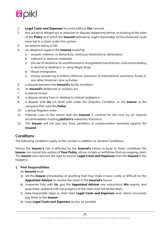

- 1. **Legal Costs and Expenses** incurred without **Our** consent
- 2. any actual or alleged act or omission or dispute happening before, or existing at the start of the **Policy** and which the **Insured** believed or ought reasonably to have believed could have led to a claim under this section
- 3. an amount below £100
- 4. an allegation against the **Insured** involving:
	- a. assault, violence, or dishonesty, malicious falsehood or defamation
	- b. indecent or obscene materials
	- c. the use of alcohol or its unauthorised or unregulated manufacture, unlicensed dealing in alcohol or dealing in or using illegal drugs
	- d. illegal immigration
	- e. money laundering or bribery offences, breaches of international sanctions, fraud, or any other financial crime activities
- 5. a dispute between the **Insured's** family members
- 6. an **Insured's** deliberate or reckless act
- 7. a judicial review
- 8. a dispute arising from or relating to clinical negligence
- 9. a dispute with **Us** not dealt with under the Disputes Condition, or the **Insurer** or the company that sold this **Policy**
- 10. a group litigation order
- 11. material Loss to the extent that the **Insured** is covered for the Loss by an internet accommodation hosting platform's indemnity insurance
- 12. The **Insurer** will not pay any fines, penalties or compensation awarded against the **Insured**.

# **Conditions**

The following conditions apply to this section in addition to General Conditions.

Where the **Insurer**'s risk is affected by the **Insured's** failure to keep to these conditions the **Insurer** can cancel this section of **Your Policy**, refuse a claim or withdraw from an ongoing claim. The **Insurer** also reserves the right to recover **Legal Costs and Expenses** from the **Insured** if this happens.

#### 1. **Your** Responsibilities

#### An **Insured** must

- a) tell the **Insurer** immediately of anything that may make it more costly or difficult for the **Appointed Advisor** to resolve the claim in the **Insured's** favour
- b) cooperate fully with **Us**, give the **Appointed Advisor** any instructions **We** require, and keep them updated with the progress of the claim and not hinder them
- c) take reasonable steps to claim back **Legal Costs and Expenses** and, where recovered, pay them to the **Insurer**
- d) keep **Legal Costs and Expenses** as low as possible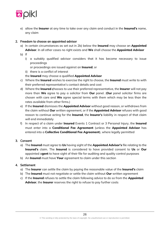

e) allow the **Insurer** at any time to take over any claim and conduct in the **Insured's** name, any claim

#### 2. Freedom to choose an appointed advisor

- a) In certain circumstances as set out in 2b) below the **Insured** may choose an **Appointed Advisor**. In all other cases no right exists and **We** shall choose the **Appointed Advisor**
- b) If
	- i) a suitably qualified advisor considers that it has become necessary to issue proceedings
		- or proceedings are issued against an **Insured**, or
	- ii) there is a conflict of interest
	- the **Insured** may choose a qualified **Appointed Advisor**
- c) Where the **Insured** wishes to exercise the right to choose, the **Insured** must write to with their preferred representative's contact details and cost
- d) Where the **Insured** chooses to use their preferred representative, the **Insurer** will not pay more than **We** agree to pay a solicitor from **Our** panel. (**Our** panel solicitor firms are chosen with care and **We** agree special terms with them which may be less than the rates available from other firms.)
- e) If the **Insured** dismisses the **Appointed Advisor** without good reason, or withdraws from the claim without **Our** written agreement, or if the **Appointed Advisor** refuses with good reason to continue acting for the **Insured**, the **Insurer**'s liability in respect of that claim will end immediately
- f) In respect of a claim under **Insured** Events 1 Contract or 3 Personal Injury, the **Insured** must enter into a **Conditional Fee Agreement** (unless the **Appointed Advisor** has entered into a **Collective Conditional Fee Agreement**), where legally permitted

#### 3. Consent

- a) The **Insured** must agree to **Us** having sight of the **Appointed Advisor's** file relating to the **Insured's** claim. The **Insured** is considered to have provided consent to **Us** or **Our** appointed a**gent** to have sight of their file for auditing and quality control purposes
- b) An **Insured** must have **Your** agreement to claim under this section

#### 4. Settlement

- a) The **Insurer** can settle the claim by paying the reasonable value of the **Insured's** claim
- b) The **Insured** must not negotiate or settle the claim without **Our** written agreement
- c) If the **Insured** refuses to settle the claim following advice to do so from the **Appointed Advisor**, the **Insurer** reserves the right to refuse to pay further costs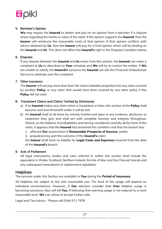

#### 5. Barrister's Opinion

**We** may require the **Insured** to obtain and pay for an opinion from a barrister if a dispute arises regarding the merits or value of the claim. If the opinion supports the **Insured**, then the **Insurer** will reimburse the reasonable costs of that opinion. If that opinion conflicts with advice obtained by **Us**, then the **Insurer** will pay for a final opinion which will be binding on the **Insured** and **Us**. This does not affect the **Insured's** right in the Disputes Condition below

#### 6. Disputes

If any dispute between the **Insured** and **Us** arises from this section, the **Insured** can make a complaint to **Us** as described on **Your** schedule and **We** will try to resolve the matter. If **We** are unable to satisfy the **Insured's** concerns the **Insured** can ask the Financial Ombudsman Service to arbitrate over the complaint

#### 7. Other Insurance

The **Insurer** will not pay more than their fair share (rateable proportion) for any claim covered by another **Policy**, or any claim that would have been covered by any other policy if this **Policy** did not exist

#### 8. Fraudulent Claims and Claims Tainted by Dishonesty

- a) If an **Insured** makes any claim which is fraudulent or false, this section of the **Policy** shall become void and all benefit under it will be lost
- b) An **Insured** shall at all times be entirely truthful and open in any evidence, disclosure or statement they give and shall act with complete honesty and integrity throughout. Where, on the balance of probabilities and having considered carefully all the facts of the claim, it appears that the **Insured** has breached this condition and that the breach has:
	- 1. affected **Our** assessment of **Reasonable Prospects of Success**, and/or
	- 2. prejudiced any part the outcome of the **Insured's** claim

the **Insurer** shall have no liability for **Legal Costs and Expenses** incurred from the date of the **Insured's** breach

#### 9. Acts of Parliament

All legal instruments, bodies and rules referred to within this section shall include the equivalent in Wales, Scotland, Northern Ireland, the Isle of Man and the Channel Islands and any subsequent amendment or replacement legislation

#### **Helplines**

The services under this Section are available to **You** during the **Period of Insurance**.

All helplines are subject to fair and reasonable use. The level of fair usage will depend on individual circumstances. However, if **Our** advisors consider that **Your** helpline usage is becoming excessive, they will tell **You**. If following that warning usage is not reduced to a more reasonable level, **We** can refuse to accept further calls.

Legal and Tax Advice - Please call 0344 571 7978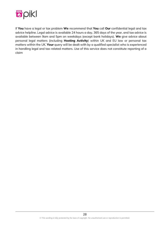

If **You** have a legal or tax problem **We** recommend that **You** call **Our** confidential legal and tax advice helpline. Legal advice is available 24 hours a day, 365 days of the year, and tax advice is available between 9am and 5pm on weekdays (except bank holidays). **We** give advice about personal legal matters (including **Hosting Activity**) within UK and EU law or personal tax matters within the UK. **Your** query will be dealt with by a qualified specialist who is experienced in handling legal and tax-related matters. Use of this service does not constitute reporting of a claim